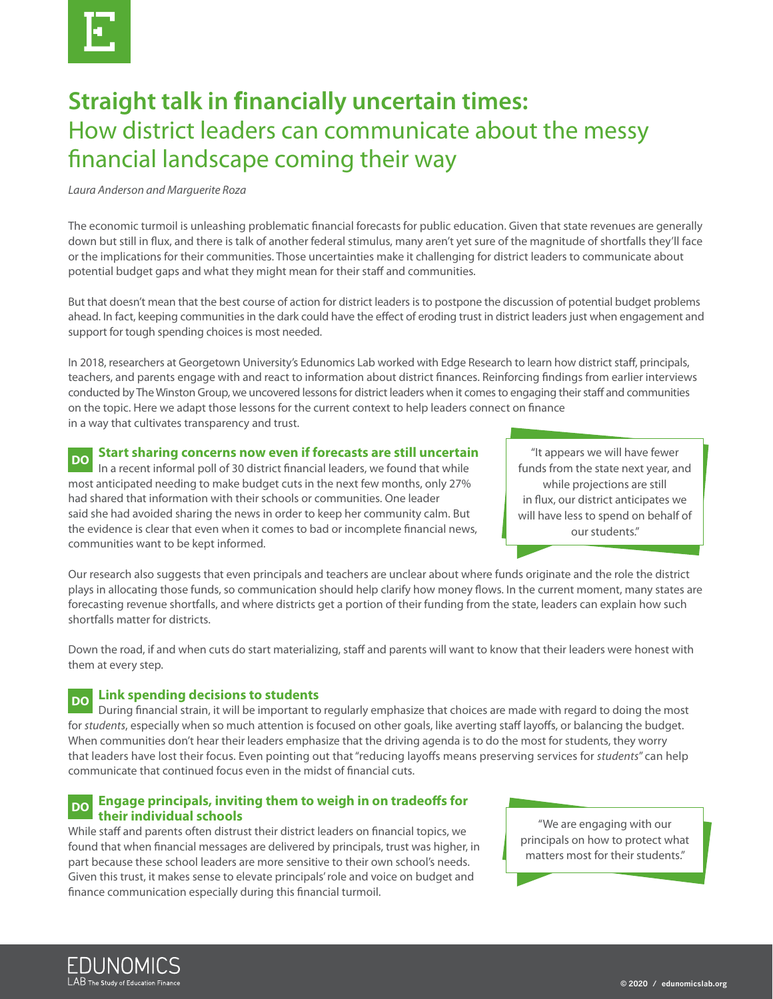

# **Straight talk in financially uncertain times:** How district leaders can communicate about the messy financial landscape coming their way

*Laura Anderson and Marguerite Roza*

The economic turmoil is unleashing problematic financial forecasts for public education. Given that state revenues are generally down but still in flux, and there is talk of another federal stimulus, many aren't yet sure of the magnitude of shortfalls they'll face or the implications for their communities. Those uncertainties make it challenging for district leaders to communicate about potential budget gaps and what they might mean for their staff and communities.

But that doesn't mean that the best course of action for district leaders is to postpone the discussion of potential budget problems ahead. In fact, keeping communities in the dark could have the effect of eroding trust in district leaders just when engagement and support for tough spending choices is most needed.

In 2018, researchers at Georgetown University's Edunomics Lab worked with Edge Research to learn how district staff, principals, teachers, and parents engage with and react to information about district finances. Reinforcing findings from earlier interviews conducted by The Winston Group, we uncovered lessons for district leaders when it comes to engaging their staff and communities on the topic. Here we adapt those lessons for the current context to help leaders connect on finance in a way that cultivates transparency and trust.

## **Start sharing concerns now even if forecasts are still uncertain**

In a recent informal poll of 30 district financial leaders, we found that while most anticipated needing to make budget cuts in the next few months, only 27% had shared that information with their schools or communities. One leader said she had avoided sharing the news in order to keep her community calm. But the evidence is clear that even when it comes to bad or incomplete financial news, communities want to be kept informed. **DO**

"It appears we will have fewer funds from the state next year, and while projections are still in flux, our district anticipates we will have less to spend on behalf of our students."

Our research also suggests that even principals and teachers are unclear about where funds originate and the role the district plays in allocating those funds, so communication should help clarify how money flows. In the current moment, many states are forecasting revenue shortfalls, and where districts get a portion of their funding from the state, leaders can explain how such shortfalls matter for districts.

Down the road, if and when cuts do start materializing, staff and parents will want to know that their leaders were honest with them at every step.

#### **Link spending decisions to students DO**

During financial strain, it will be important to regularly emphasize that choices are made with regard to doing the most for *students*, especially when so much attention is focused on other goals, like averting staff layoffs, or balancing the budget. When communities don't hear their leaders emphasize that the driving agenda is to do the most for students, they worry that leaders have lost their focus. Even pointing out that "reducing layoffs means preserving services for *students*" can help communicate that continued focus even in the midst of financial cuts.

#### **Engage principals, inviting them to weigh in on tradeoffs for their individual schools DO**

While staff and parents often distrust their district leaders on financial topics, we found that when financial messages are delivered by principals, trust was higher, in part because these school leaders are more sensitive to their own school's needs. Given this trust, it makes sense to elevate principals' role and voice on budget and finance communication especially during this financial turmoil.

"We are engaging with our principals on how to protect what matters most for their students."